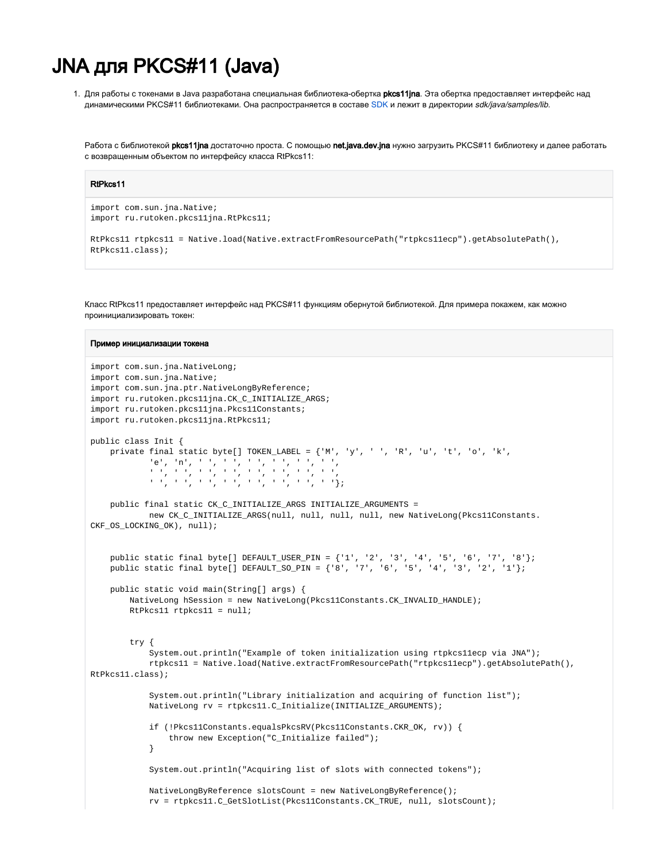## **JNA для PKCS#11 (Java)**

1. Для работы с токенами в Java разработана специальная библиотека-обертка pkcs11jna. Эта обертка предоставляет интерфейс над динамическими РКСS#11 библиотеками. Она распространяется в составе SDK и лежит в директории sdk/java/samples/lib.

Работа с библиотекой pkcs11jna достаточно проста. С помощью net.java.dev.jna нужно загрузить РКСS#11 библиотеку и далее работать с возвращенным объектом по интерфейсу класса RtPkcs11:

## RtPkcs11

```
import com.sun.ina.Native;
import ru.rutoken.pkcs11jna.RtPkcs11;
RtPkcsl1 rtpkcsl1 = Native.load(Native.extractFromResourcePath("rtpkcsllecp").getAbsolutePath(),
RtPkcs11.class);
```
Knacc RtPkcs11 предоставляет интерфейс над PKCS#11 функциям обернутой библиотекой. Для примера покажем, как можно проинициализировать токен:

## Пример инициализации токена

```
import com.sun.jna.NativeLong;
import com.sun.jna.Native;
import com.sun.jna.ptr.NativeLongByReference;
import ru.rutoken.pkcs11jna.CK_C_INITIALIZE_ARGS;
import ru.rutoken.pkcs11jna.Pkcs11Constants;
import ru.rutoken.pkcs11jna.RtPkcs11;
public class Init {
     private final static byte[] TOKEN_LABEL = \{M', Y', Y', Z', R', T', T', T', T', T', T', T', T', T', T', T', T'\}\mathbf{f} \in \mathcal{F}_{\mathcal{F}} \left( \{ \mathbf{n}^{\mathsf{T}} \}_{\mathcal{F}} \left( \mathbf{f}^{\mathsf{T}} \right) \}_{\mathcal{F}} \left( \mathbf{f}^{\mathsf{T}} \right) \}_{\mathcal{F}} \left( \mathbf{f}^{\mathsf{T}} \right) \}_{\mathcal{F}} \left( \mathbf{f}^{\mathsf{T}} \right) \}_{\mathcal{F}} \left( \mathbf{f}^{\mathsf{T}} \right) \}_{\mathcal{F}} \left( \mathbf{f}^{\mathsf{T}} \right) \}_{\mathcal{F}} \left( \mathbf{f}^{\mathsf{T}} \right) \}_{والمساور والمساور والمستور والمستور والمساورة
                  \{ \mathcal{L}_1, \mathcal{L}_2, \mathcal{L}_3, \mathcal{L}_4, \mathcal{L}_5, \mathcal{L}_6, \mathcal{L}_7, \mathcal{L}_8, \mathcal{L}_9, \mathcal{L}_1, \mathcal{L}_2, \mathcal{L}_3, \mathcal{L}_1, \mathcal{L}_2, \mathcal{L}_3, \mathcal{L}_1, \mathcal{L}_2, \mathcal{L}_3, \mathcal{L}_2, \mathcal{L}_3, \mathcal{L}_1, \mathcal{L}_2, \mathcal{L}_3, \mathcal{L}_1, \mathcal{L}_2, \mathcal{L}_3, \mathcal{L}_1, \mathpublic final static CK C INITIALIZE ARGS INITIALIZE ARGUMENTS =
                  new CK_C_INITIALIZE_ARGS(null, null, null, null, new NativeLong(Pkcs11Constants.
CKF OS LOCKING OK), null);
      public static final byte[] DEFAULT_USER_PIN = \{11, 21, 31, 41, 51, 61, 71, 81\}public static final byte[] DEFAULT_SO_PIN = \{18', 17', 16', 15', 14', 13', 12', 11\};
      public static void main(String[] args) {
            NativeLong hSession = new NativeLong(PkcsllConstants.CK INVALID HANDLE);
            RtPkcs11 rtpkcs11 = null;try {
                  System.out.println("Example of token initialization using rtpkcsllecp via JNA");
                  rtpkcs11 = Native.load(Native.extractFromResourcePath("rtpkcs11ecp").getAbsolutePath(),
RtPkcs11.class);
                  System.out.println("Library initialization and acquiring of function list");
                  NativeLong rv = rtpkcsll.C_Initialize(INITIALIZE_ARGUMENTS);
                  if (!Pkcs11Constants.equalsPkcsRV(Pkcs11Constants.CKR OK, ry)) {
                        throw new Exception("C Initialize failed");
                  }
                  System.out.println("Acquiring list of slots with connected tokens");
                  NativeLongByReference slotsCount = new NativeLongByReference();
                  rv = rtpkcsll.C GetSlotList(PkcsllConstants.CK TRUE, null, slotsCount);
```